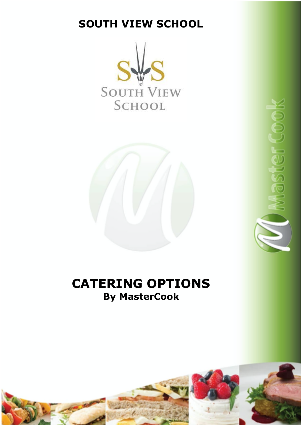# **SOUTH VIEW SCHOOL**





# **CATERING OPTIONS By MasterCook**

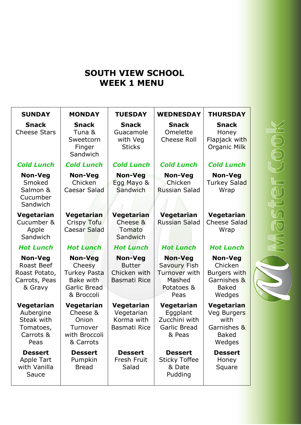## **SOUTH VIEW SCHOOL WEEK 1 MENU**

| <b>SUNDAY</b>                                                             | <b>MONDAY</b>                                                                       | <b>TUESDAY</b>                                                         | <b>WEDNESDAY</b>                                                                | <b>THURSDAY</b>                                                                    |
|---------------------------------------------------------------------------|-------------------------------------------------------------------------------------|------------------------------------------------------------------------|---------------------------------------------------------------------------------|------------------------------------------------------------------------------------|
| <b>Snack</b><br><b>Cheese Stars</b>                                       | <b>Snack</b><br>Tuna &<br>Sweetcorn<br>Finger<br>Sandwich                           | <b>Snack</b><br>Guacamole<br>with Veg<br><b>Sticks</b>                 | <b>Snack</b><br>Omelette<br><b>Cheese Roll</b>                                  | <b>Snack</b><br>Honey<br>Flapjack with<br>Organic Milk                             |
| <b>Cold Lunch</b>                                                         | <b>Cold Lunch</b>                                                                   | <b>Cold Lunch</b>                                                      | <b>Cold Lunch</b>                                                               | <b>Cold Lunch</b>                                                                  |
| <b>Non-Veg</b><br>Smoked<br>Salmon &<br>Cucumber<br>Sandwich              | <b>Non-Veg</b><br>Chicken<br>Caesar Salad                                           | <b>Non-Veg</b><br>Egg Mayo &<br>Sandwich                               | <b>Non-Veg</b><br>Chicken<br><b>Russian Salad</b>                               | <b>Non-Veg</b><br>Turkey Salad<br>Wrap                                             |
| Vegetarian<br>Cucumber &<br>Apple<br>Sandwich                             | Vegetarian<br>Crispy Tofu<br><b>Caesar Salad</b>                                    | Vegetarian<br>Cheese &<br>Tomato<br>Sandwich                           | Vegetarian<br><b>Russian Salad</b>                                              | <b>Vegetarian</b><br><b>Cheese Salad</b><br>Wrap                                   |
| <b>Hot Lunch</b>                                                          | <b>Hot Lunch</b>                                                                    | <b>Hot Lunch</b>                                                       | <b>Hot Lunch</b>                                                                | <b>Hot Lunch</b>                                                                   |
| <b>Non-Veg</b><br>Roast Beef<br>Roast Potato,<br>Carrots, Peas<br>& Gravy | <b>Non-Veg</b><br>Cheesy<br>Turkey Pasta<br>Bake with<br>Garlic Bread<br>& Broccoli | <b>Non-Veg</b><br><b>Butter</b><br>Chicken with<br><b>Basmati Rice</b> | <b>Non-Veg</b><br>Savoury Fish<br>Turnover with<br>Mashed<br>Potatoes &<br>Peas | <b>Non-Veg</b><br>Chicken<br>Burgers with<br>Garnishes &<br><b>Baked</b><br>Wedges |
| Vegetarian<br>Aubergine<br>Steak with<br>Tomatoes,<br>Carrots &<br>Peas   | Vegetarian<br>Cheese &<br>Onion<br>Turnover<br>with Broccoli<br>& Carrots           | Vegetarian<br>Vegetarian<br>Korma with<br><b>Basmati Rice</b>          | Vegetarian<br>Eggplant<br>Zucchini with<br>Garlic Bread<br>& Peas               | <b>Vegetarian</b><br>Veg Burgers<br>with<br>Garnishes &<br><b>Baked</b><br>Wedges  |
| <b>Dessert</b><br><b>Apple Tart</b><br>with Vanilla<br>Sauce              | <b>Dessert</b><br>Pumpkin<br><b>Bread</b>                                           | <b>Dessert</b><br>Fresh Fruit<br>Salad                                 | <b>Dessert</b><br><b>Sticky Toffee</b><br>& Date<br>Pudding                     | <b>Dessert</b><br>Honey<br>Square                                                  |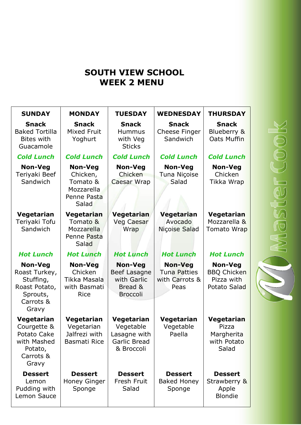# **SOUTH VIEW SCHOOL WEEK 2 MENU**

| <b>SUNDAY</b>                                                                                   | <b>MONDAY</b>                                                                | <b>TUESDAY</b>                                                               | <b>WEDNESDAY</b>                                                | <b>THURSDAY</b>                                                    |
|-------------------------------------------------------------------------------------------------|------------------------------------------------------------------------------|------------------------------------------------------------------------------|-----------------------------------------------------------------|--------------------------------------------------------------------|
| <b>Snack</b><br><b>Baked Tortilla</b><br><b>Bites with</b><br>Guacamole                         | <b>Snack</b><br><b>Mixed Fruit</b><br>Yoghurt                                | <b>Snack</b><br><b>Hummus</b><br>with Veg<br><b>Sticks</b>                   | <b>Snack</b><br>Cheese Finger<br>Sandwich                       | <b>Snack</b><br>Blueberry &<br>Oats Muffin                         |
| <b>Cold Lunch</b>                                                                               | <b>Cold Lunch</b>                                                            | <b>Cold Lunch</b>                                                            | <b>Cold Lunch</b>                                               | <b>Cold Lunch</b>                                                  |
| <b>Non-Veg</b><br>Teriyaki Beef<br>Sandwich                                                     | <b>Non-Veg</b><br>Chicken,<br>Tomato &<br>Mozzarella<br>Penne Pasta<br>Salad | <b>Non-Veg</b><br>Chicken<br><b>Caesar Wrap</b>                              | <b>Non-Veg</b><br>Tuna Niçoise<br>Salad                         | <b>Non-Veg</b><br>Chicken<br>Tikka Wrap                            |
| Vegetarian<br>Teriyaki Tofu<br>Sandwich                                                         | Vegetarian<br>Tomato &<br>Mozzarella<br>Penne Pasta<br>Salad                 | Vegetarian<br><b>Veg Caesar</b><br>Wrap                                      | Vegetarian<br>Avocado<br>Niçoise Salad                          | <b>Vegetarian</b><br>Mozzarella &<br>Tomato Wrap                   |
| <b>Hot Lunch</b>                                                                                | <b>Hot Lunch</b>                                                             | <b>Hot Lunch</b>                                                             | <b>Hot Lunch</b>                                                | <b>Hot Lunch</b>                                                   |
| <b>Non-Veg</b><br>Roast Turkey,<br>Stuffing,<br>Roast Potato,<br>Sprouts,<br>Carrots &<br>Gravy | Non-Veg<br>Chicken<br>Tikka Masala<br>with Basmati<br><b>Rice</b>            | <b>Non-Veg</b><br>Beef Lasagne<br>with Garlic<br>Bread &<br><b>Broccoli</b>  | <b>Non-Veg</b><br><b>Tuna Patties</b><br>with Carrots &<br>Peas | <b>Non-Veg</b><br><b>BBQ Chicken</b><br>Pizza with<br>Potato Salad |
| Vegetarian<br>Courgette &<br>Potato Cake<br>with Mashed<br>Potato,<br>Carrots &<br>Gravy        | Vegetarian<br>Vegetarian<br>Jalfrezi with<br>Basmati Rice                    | Vegetarian<br>Vegetable<br>asagne with.<br><b>Garlic Bread</b><br>& Broccoli | Vegetarian<br>Vegetable<br>Paella                               | <b>Vegetarian</b><br>Pizza<br>Margherita<br>with Potato<br>Salad   |
| <b>Dessert</b><br>Lemon<br>Pudding with                                                         | <b>Dessert</b><br><b>Honey Ginger</b><br>Sponge                              | <b>Dessert</b><br>Fresh Fruit<br>Salad                                       | <b>Dessert</b><br><b>Baked Honey</b><br>Sponge                  | <b>Dessert</b><br>Strawberry &<br>Apple                            |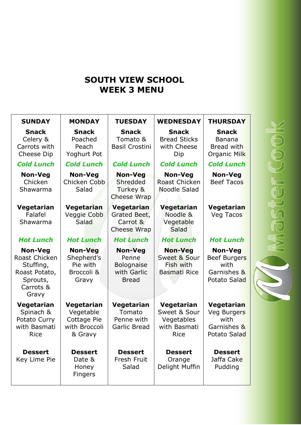## **SOUTH VIEW SCHOOL WEEK 3 MENU**

| <b>SUNDAY</b>                                                                                   | <b>MONDAY</b>                                                      | <b>TUESDAY</b>                                                              | <b>WEDNESDAY</b>                                                        | <b>THURSDAY</b>                                                              |  |
|-------------------------------------------------------------------------------------------------|--------------------------------------------------------------------|-----------------------------------------------------------------------------|-------------------------------------------------------------------------|------------------------------------------------------------------------------|--|
| <b>Snack</b><br>Celery &<br>Carrots with<br><b>Cheese Dip</b>                                   | <b>Snack</b><br>Poached<br>Peach<br>Yoghurt Pot                    | <b>Snack</b><br>Tomato &<br><b>Basil Crostini</b>                           | <b>Snack</b><br><b>Bread Sticks</b><br>with Cheese<br>Dip               | <b>Snack</b><br><b>Banana</b><br>Bread with<br>Organic Milk                  |  |
| <b>Cold Lunch</b>                                                                               | <b>Cold Lunch</b>                                                  | <b>Cold Lunch</b>                                                           | <b>Cold Lunch</b>                                                       | <b>Cold Lunch</b>                                                            |  |
| <b>Non-Veg</b><br>Chicken<br>Shawarma                                                           | Non-Veg<br>Chicken Cobb<br>Salad                                   | <b>Non-Veg</b><br>Shredded<br>Turkey &<br><b>Cheese Wrap</b>                | Non-Veg<br><b>Roast Chicken</b><br>Noodle Salad                         | <b>Non-Veg</b><br><b>Beef Tacos</b>                                          |  |
| Vegetarian<br>Falafel<br>Shawarma                                                               | <b>Vegetarian</b><br>Veggie Cobb<br>Salad                          | <b>Vegetarian</b><br>Grated Beet,<br>Carrot &<br>Cheese Wrap                | Vegetarian<br>Noodle &<br>Vegetable<br>Salad                            | <b>Vegetarian</b><br>Veg Tacos                                               |  |
| <b>Hot Lunch</b>                                                                                | <b>Hot Lunch</b>                                                   | <b>Hot Lunch</b>                                                            | <b>Hot Lunch</b>                                                        | <b>Hot Lunch</b>                                                             |  |
| <b>Non-Veg</b><br>Roast Chicken<br>Stuffing,<br>Roast Potato,<br>Sprouts,<br>Carrots &<br>Gravy | <b>Non-Veg</b><br>Shepherd's<br>Pie with<br>Broccoli &<br>Gravy    | <b>Non-Veg</b><br>Penne<br><b>Bolognaise</b><br>with Garlic<br><b>Bread</b> | <b>Non-Veg</b><br>Sweet & Sour<br>Fish with<br><b>Basmati Rice</b>      | <b>Non-Veg</b><br><b>Beef Burgers</b><br>with<br>Garnishes &<br>Potato Salad |  |
| Vegetarian<br>Spinach &<br>Potato Curry<br>with Basmati<br><b>Rice</b>                          | Vegetarian<br>Vegetable<br>Cottage Pie<br>with Broccoli<br>& Gravy | Vegetarian<br>Tomato<br>Penne with<br><b>Garlic Bread</b>                   | Vegetarian<br>Sweet & Sour<br>Vegetables<br>with Basmati<br><b>Rice</b> | <b>Vegetarian</b><br>Veg Burgers<br>with<br>Garnishes &<br>Potato Salad      |  |
| <b>Dessert</b><br>Key Lime Pie                                                                  | <b>Dessert</b><br>Date &<br>Honey<br>Fingers                       | <b>Dessert</b><br><b>Fresh Fruit</b><br>Salad                               | <b>Dessert</b><br>Orange<br>Delight Muffin                              | <b>Dessert</b><br>Jaffa Cake<br>Pudding                                      |  |